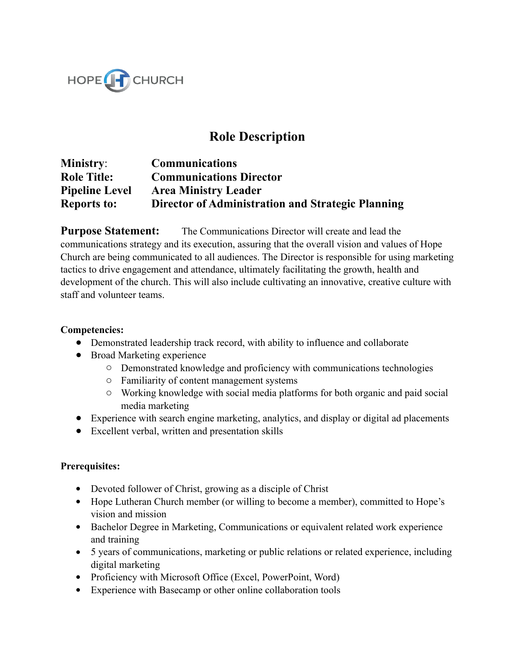

## **Role Description**

**Ministry**: **Communications Role Title: Communications Director Pipeline Level Area Ministry Leader Reports to: Director of Administration and Strategic Planning** 

**Purpose Statement:** The Communications Director will create and lead the communications strategy and its execution, assuring that the overall vision and values of Hope Church are being communicated to all audiences. The Director is responsible for using marketing tactics to drive engagement and attendance, ultimately facilitating the growth, health and development of the church. This will also include cultivating an innovative, creative culture with staff and volunteer teams.

## **Competencies:**

- Demonstrated leadership track record, with ability to influence and collaborate
- Broad Marketing experience
	- o Demonstrated knowledge and proficiency with communications technologies
	- o Familiarity of content management systems
	- o Working knowledge with social media platforms for both organic and paid social media marketing
- Experience with search engine marketing, analytics, and display or digital ad placements
- Excellent verbal, written and presentation skills

## **Prerequisites:**

- Devoted follower of Christ, growing as a disciple of Christ
- Hope Lutheran Church member (or willing to become a member), committed to Hope's vision and mission
- Bachelor Degree in Marketing, Communications or equivalent related work experience and training
- 5 years of communications, marketing or public relations or related experience, including digital marketing
- Proficiency with Microsoft Office (Excel, PowerPoint, Word)
- Experience with Basecamp or other online collaboration tools